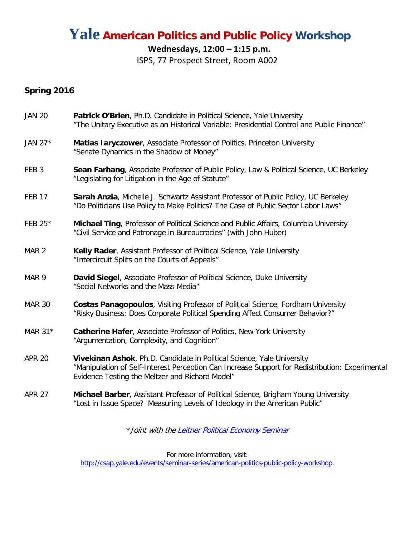# **Yale American Politics and Public Policy Workshop**

## **Wednesdays, 12:00 – 1:15 p.m.**

ISPS, 77 Prospect Street, Room A002

## **Spring 2016**

| <b>JAN 20</b>    | Patrick O'Brien, Ph.D. Candidate in Political Science, Yale University<br>"The Unitary Executive as an Historical Variable: Presidential Control and Public Finance"                                                         |
|------------------|------------------------------------------------------------------------------------------------------------------------------------------------------------------------------------------------------------------------------|
| JAN 27*          | Matias laryczower, Associate Professor of Politics, Princeton University<br>"Senate Dynamics in the Shadow of Money"                                                                                                         |
| FEB <sub>3</sub> | Sean Farhang, Associate Professor of Public Policy, Law & Political Science, UC Berkeley<br>"Legislating for Litigation in the Age of Statute"                                                                               |
| <b>FEB 17</b>    | <b>Sarah Anzia, Michelle J. Schwartz Assistant Professor of Public Policy, UC Berkeley</b><br>"Do Politicians Use Policy to Make Politics? The Case of Public Sector Labor Laws"                                             |
| FEB 25*          | Michael Ting, Professor of Political Science and Public Affairs, Columbia University<br>"Civil Service and Patronage in Bureaucracies" (with John Huber)                                                                     |
| MAR <sub>2</sub> | Kelly Rader, Assistant Professor of Political Science, Yale University<br>"Intercircuit Splits on the Courts of Appeals"                                                                                                     |
| MAR <sub>9</sub> | David Siegel, Associate Professor of Political Science, Duke University<br>"Social Networks and the Mass Media"                                                                                                              |
| <b>MAR 30</b>    | Costas Panagopoulos, Visiting Professor of Political Science, Fordham University<br>"Risky Business: Does Corporate Political Spending Affect Consumer Behavior?"                                                            |
| MAR 31*          | Catherine Hafer, Associate Professor of Politics, New York University<br>"Argumentation, Complexity, and Cognition"                                                                                                          |
| <b>APR 20</b>    | Vivekinan Ashok, Ph.D. Candidate in Political Science, Yale University<br>"Manipulation of Self-Interest Perception Can Increase Support for Redistribution: Experimental<br>Evidence Testing the Meltzer and Richard Model" |
| <b>APR 27</b>    | Michael Barber, Assistant Professor of Political Science, Brigham Young University<br>"Lost in Issue Space? Measuring Levels of Ideology in the American Public"                                                             |

\* Joint with th[e Leitner Political Economy Seminar](http://leitner.yale.edu/leitner-political-economy-seminar-0)

For more information, visit:

[http://csap.yale.edu/events/seminar-series/american-politics-public-policy-workshop.](http://csap.yale.edu/events/seminar-series/american-politics-public-policy-workshop)